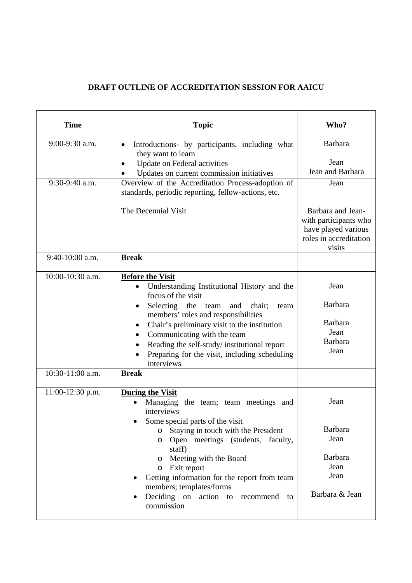## **DRAFT OUTLINE OF ACCREDITATION SESSION FOR AAICU**

| <b>Time</b>                          | <b>Topic</b>                                                                                                                                                                                                                                                                                                                                                                                           | Who?                                                                                                          |
|--------------------------------------|--------------------------------------------------------------------------------------------------------------------------------------------------------------------------------------------------------------------------------------------------------------------------------------------------------------------------------------------------------------------------------------------------------|---------------------------------------------------------------------------------------------------------------|
| 9:00-9:30 a.m.                       | Introductions- by participants, including what<br>$\bullet$<br>they want to learn<br>Update on Federal activities<br>Updates on current commission initiatives                                                                                                                                                                                                                                         | Barbara<br>Jean<br>Jean and Barbara                                                                           |
| 9:30-9:40 a.m.                       | Overview of the Accreditation Process-adoption of<br>standards, periodic reporting, fellow-actions, etc.<br>The Decennial Visit                                                                                                                                                                                                                                                                        | Jean<br>Barbara and Jean-<br>with participants who<br>have played various<br>roles in accreditation<br>visits |
| 9:40-10:00 a.m.                      | <b>Break</b>                                                                                                                                                                                                                                                                                                                                                                                           |                                                                                                               |
| 10:00-10:30 a.m.<br>10:30-11:00 a.m. | <b>Before the Visit</b><br>Understanding Institutional History and the<br>focus of the visit<br>Selecting the team and chair;<br>team<br>members' roles and responsibilities<br>Chair's preliminary visit to the institution<br>$\bullet$<br>Communicating with the team<br>Reading the self-study/institutional report<br>Preparing for the visit, including scheduling<br>interviews<br><b>Break</b> | Jean<br>Barbara<br><b>Barbara</b><br>Jean<br><b>Barbara</b><br>Jean                                           |
| 11:00-12:30 p.m.                     | <b>During the Visit</b><br>Managing the team; team meetings and<br>interviews<br>Some special parts of the visit<br>Staying in touch with the President<br>O<br>Open meetings (students, faculty,<br>O<br>staff)<br>o Meeting with the Board<br>Exit report<br>O<br>Getting information for the report from team<br>members; templates/forms<br>Deciding on action to<br>recommend to<br>commission    | Jean<br>Barbara<br>Jean<br>Barbara<br>Jean<br>Jean<br>Barbara & Jean                                          |